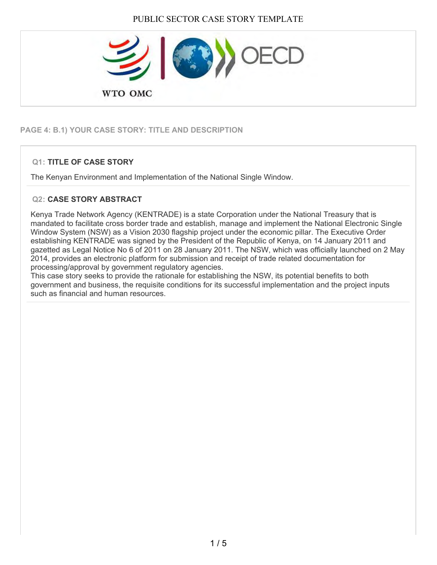

# **PAGE 4: B.1) YOUR CASE STORY: TITLE AND DESCRIPTION**

## **Q1: TITLE OF CASE STORY**

The Kenyan Environment and Implementation of the National Single Window.

### **Q2: CASE STORY ABSTRACT**

Kenya Trade Network Agency (KENTRADE) is a state Corporation under the National Treasury that is mandated to facilitate cross border trade and establish, manage and implement the National Electronic Single Window System (NSW) as a Vision 2030 flagship project under the economic pillar. The Executive Order establishing KENTRADE was signed by the President of the Republic of Kenya, on 14 January 2011 and gazetted as Legal Notice No 6 of 2011 on 28 January 2011. The NSW, which was officially launched on 2 May 2014, provides an electronic platform for submission and receipt of trade related documentation for processing/approval by government regulatory agencies.

This case story seeks to provide the rationale for establishing the NSW, its potential benefits to both government and business, the requisite conditions for its successful implementation and the project inputs such as financial and human resources.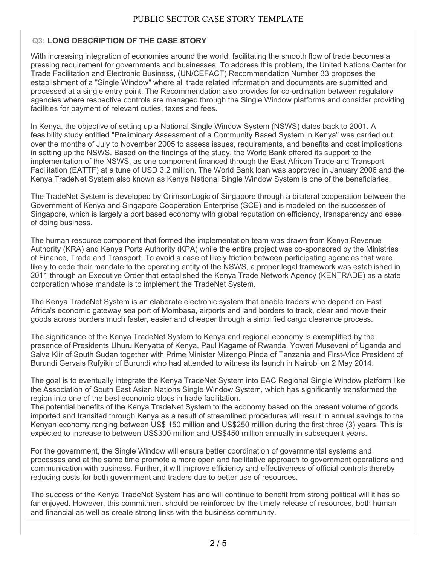#### PUBLIC SECTOR CASE STORY TEMPLATE

#### **Q3: LONG DESCRIPTION OF THE CASE STORY**

With increasing integration of economies around the world, facilitating the smooth flow of trade becomes a pressing requirement for governments and businesses. To address this problem, the United Nations Center for Trade Facilitation and Electronic Business, (UN/CEFACT) Recommendation Number 33 proposes the establishment of a "Single Window" where all trade related information and documents are submitted and processed at a single entry point. The Recommendation also provides for co-ordination between regulatory agencies where respective controls are managed through the Single Window platforms and consider providing facilities for payment of relevant duties, taxes and fees.

In Kenya, the objective of setting up a National Single Window System (NSWS) dates back to 2001. A feasibility study entitled "Preliminary Assessment of a Community Based System in Kenya" was carried out over the months of July to November 2005 to assess issues, requirements, and benefits and cost implications in setting up the NSWS. Based on the findings of the study, the World Bank offered its support to the implementation of the NSWS, as one component financed through the East African Trade and Transport Facilitation (EATTF) at a tune of USD 3.2 million. The World Bank loan was approved in January 2006 and the Kenya TradeNet System also known as Kenya National Single Window System is one of the beneficiaries.

The TradeNet System is developed by CrimsonLogic of Singapore through a bilateral cooperation between the Government of Kenya and Singapore Cooperation Enterprise (SCE) and is modeled on the successes of Singapore, which is largely a port based economy with global reputation on efficiency, transparency and ease of doing business.

The human resource component that formed the implementation team was drawn from Kenya Revenue Authority (KRA) and Kenya Ports Authority (KPA) while the entire project was co-sponsored by the Ministries of Finance, Trade and Transport. To avoid a case of likely friction between participating agencies that were likely to cede their mandate to the operating entity of the NSWS, a proper legal framework was established in 2011 through an Executive Order that established the Kenya Trade Network Agency (KENTRADE) as a state corporation whose mandate is to implement the TradeNet System.

The Kenya TradeNet System is an elaborate electronic system that enable traders who depend on East Africa's economic gateway sea port of Mombasa, airports and land borders to track, clear and move their goods across borders much faster, easier and cheaper through a simplified cargo clearance process.

The significance of the Kenya TradeNet System to Kenya and regional economy is exemplified by the presence of Presidents Uhuru Kenyatta of Kenya, Paul Kagame of Rwanda, Yoweri Museveni of Uganda and Salva Kiir of South Sudan together with Prime Minister Mizengo Pinda of Tanzania and First-Vice President of Burundi Gervais Rufyikir of Burundi who had attended to witness its launch in Nairobi on 2 May 2014.

The goal is to eventually integrate the Kenya TradeNet System into EAC Regional Single Window platform like the Association of South East Asian Nations Single Window System, which has significantly transformed the region into one of the best economic blocs in trade facilitation.

The potential benefits of the Kenya TradeNet System to the economy based on the present volume of goods imported and transited through Kenya as a result of streamlined procedures will result in annual savings to the Kenyan economy ranging between US\$ 150 million and US\$250 million during the first three (3) years. This is expected to increase to between US\$300 million and US\$450 million annually in subsequent years.

For the government, the Single Window will ensure better coordination of governmental systems and processes and at the same time promote a more open and facilitative approach to government operations and communication with business. Further, it will improve efficiency and effectiveness of official controls thereby reducing costs for both government and traders due to better use of resources.

The success of the Kenya TradeNet System has and will continue to benefit from strong political will it has so far enjoyed. However, this commitment should be reinforced by the timely release of resources, both human and financial as well as create strong links with the business community.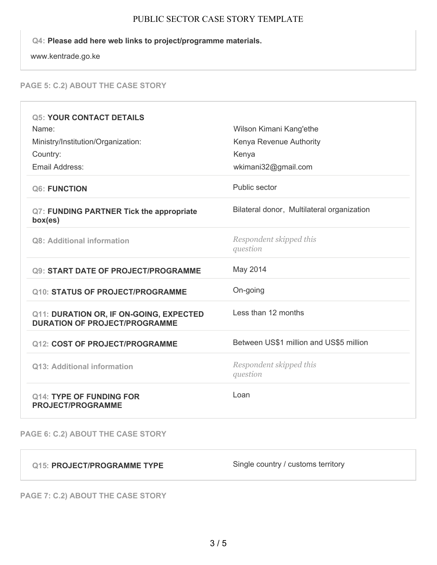#### PUBLIC SECTOR CASE STORY TEMPLATE

## **Q4: Please add here web links to project/programme materials.**

www.kentrade.go.ke

# **PAGE 5: C.2) ABOUT THE CASE STORY**

| <b>Q5: YOUR CONTACT DETAILS</b>                                                 |                                            |
|---------------------------------------------------------------------------------|--------------------------------------------|
| Name:                                                                           | Wilson Kimani Kang'ethe                    |
| Ministry/Institution/Organization:                                              | Kenya Revenue Authority                    |
| Country:                                                                        | Kenya                                      |
| Email Address:                                                                  | wkimani32@gmail.com                        |
| Q6: FUNCTION                                                                    | Public sector                              |
| Q7: FUNDING PARTNER Tick the appropriate<br>box(es)                             | Bilateral donor, Multilateral organization |
| Q8: Additional information                                                      | Respondent skipped this<br>question        |
| <b>Q9: START DATE OF PROJECT/PROGRAMME</b>                                      | May 2014                                   |
|                                                                                 |                                            |
| <b>Q10: STATUS OF PROJECT/PROGRAMME</b>                                         | On-going                                   |
| Q11: DURATION OR, IF ON-GOING, EXPECTED<br><b>DURATION OF PROJECT/PROGRAMME</b> | Less than 12 months                        |
| <b>Q12: COST OF PROJECT/PROGRAMME</b>                                           | Between US\$1 million and US\$5 million    |
| Q13: Additional information                                                     | Respondent skipped this<br>question        |

**PAGE 6: C.2) ABOUT THE CASE STORY**

| Q15: PROJECT/PROGRAMME TYPE | Single country / customs territory |
|-----------------------------|------------------------------------|
|                             |                                    |

**PAGE 7: C.2) ABOUT THE CASE STORY**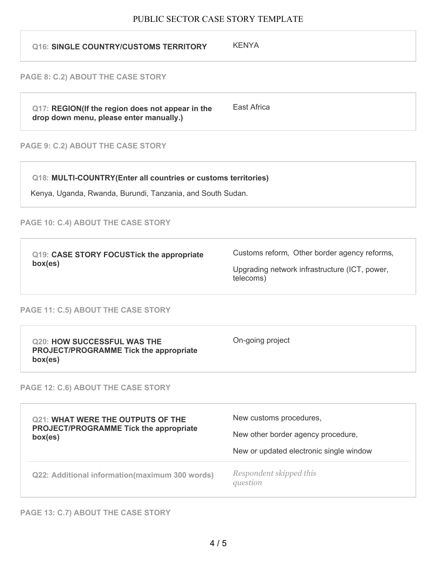# PUBLIC SECTOR CASE STORY TEMPLATE

| <b>KENYA</b>                                                                                                                 |
|------------------------------------------------------------------------------------------------------------------------------|
|                                                                                                                              |
| <b>East Africa</b>                                                                                                           |
|                                                                                                                              |
| Q18: MULTI-COUNTRY(Enter all countries or customs territories)<br>Kenya, Uganda, Rwanda, Burundi, Tanzania, and South Sudan. |
|                                                                                                                              |
| Customs reform, Other border agency reforms,<br>Upgrading network infrastructure (ICT, power,<br>telecoms)                   |
|                                                                                                                              |
| On-going project                                                                                                             |
|                                                                                                                              |
| New customs procedures,<br>New other border agency procedure,<br>New or updated electronic single window                     |
| Respondent skipped this<br>question                                                                                          |
|                                                                                                                              |

**PAGE 13: C.7) ABOUT THE CASE STORY**